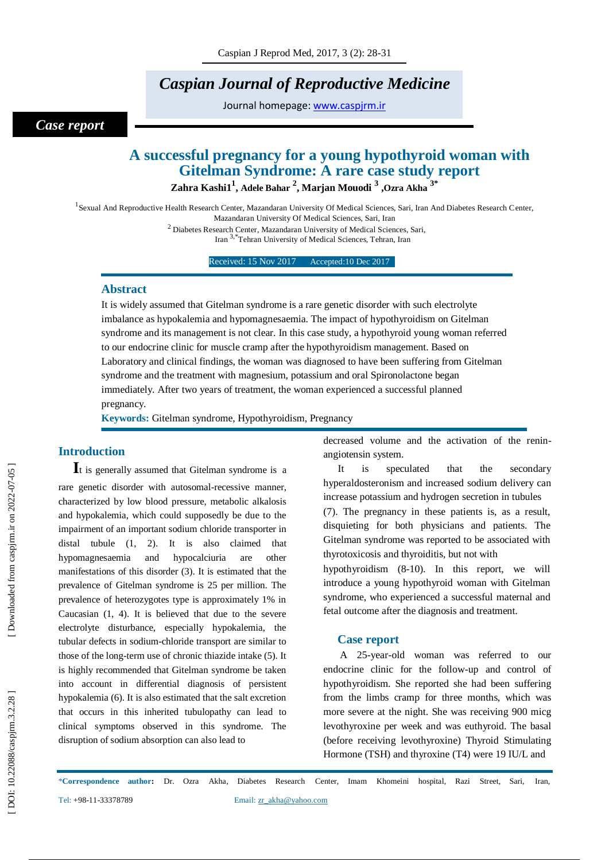# *Caspian Journal of Reproductive Medicine*

Journal homepage: [www.caspjrm.ir](http://www.caspjrm.ir/)

## *Case report*

# **A successful pregnancy for a young hypothyroid woman with Gitelman Syndrome: A rare case study report**

**Zahra Kashi1 1 , Adele Bahar 2 , Marjan Mouodi 3 ,Ozra Akha 3\***

<sup>1</sup> Sexual And Reproductive Health Research Center, Mazandaran University Of Medical Sciences, Sari, Iran And Diabetes Research Center, Mazandaran University Of Medical Sciences, Sari, Iran

<sup>2</sup> Diabetes Research Center, Mazandaran University of Medical Sciences, Sari, Iran 3,\*Tehran University of Medical Sciences, Tehran, Iran

Received: 15 Nov 2017 Accepted:10 Dec 2017

#### **Abstract**

It is widely assumed that Gitelman syndrome is a rare genetic disorder with such electrolyte imbalance as hypokalemia and hypomagnesaemia. The impact of hypothyroidism on Gitelman syndrome and its management is not clear. In this case study, a hypothyroid young woman referred to our endocrine clinic for muscle cramp after the hypothyroidism management. Based on Laboratory and clinical findings, the woman was diagnosed to have been suffering from Gitelman syndrome and the treatment with magnesium, potassium and oral Spironolactone began immediately. After two years of treatment, the woman experienced a successful planned pregnancy.

**Keywords:** Gitelman syndrome, Hypothyroidism, Pregnancy

### **Introduction**

**I**t is generally assumed that Gitelman syndrome is <sup>a</sup> rare genetic disorder with autosomal -recessive manner, characterized by low blood pressure, metabolic alkalosis and hypokalemia, which could supposedly be due to the impairment of an important sodium chloride transporter in distal tubule (1, 2). It is also claimed that hypomagnesaemia and hypocalciuria are other manifestations of this disorder (3). It is estimated that the prevalence of Gitelman syndrome is 25 per million. The prevalence of heterozygotes type is approximately 1% in Caucasian (1, 4). It is believed that due to the severe electrolyte disturbance, especially hypokalemia, the tubular defects in sodium -chloride transport are similar to those of the long -term use of chronic thiazide intake (5). It is highly recommended that Gitelman syndrome be taken into account in differential diagnosis of persistent hypokalemia (6). It is also estimated that the salt excretion that occurs in this inherited tubulopathy can lead to clinical symptoms observed in this syndrome. The disruption of sodium absorption can also lead to

decreased volume and the activation of the renin angiotensin system.

It is speculated that the secondary hyperaldosteronism and increased sodium delivery can increase potassium and hydrogen secretion in tubules (7). The pregnancy in these patients is, as a result, disquieting for both physicians and patients. The Gitelman syndrome was reported to be associated with thyrotoxicosis and thyroiditis, but not with

hypothyroidism (8 -10). In this report, we will introduce a young hypothyroid woman with Gitelman syndrome, who experienced a successful maternal and fetal outcome after the diagnosis and treatment.

#### **Case report**

A 25-year-old woman was referred to our endocrine clinic for the follow -up and control of hypothyroidism. She reported she had been suffering from the limbs cramp for three months, which was more severe at the night. She was receiving 900 micg levothyroxine per week and was euthyroid. The basal (before receiving levothyroxine) Thyroid Stimulating Hormone (TSH) and thyroxine (T4) were 19 IU/L and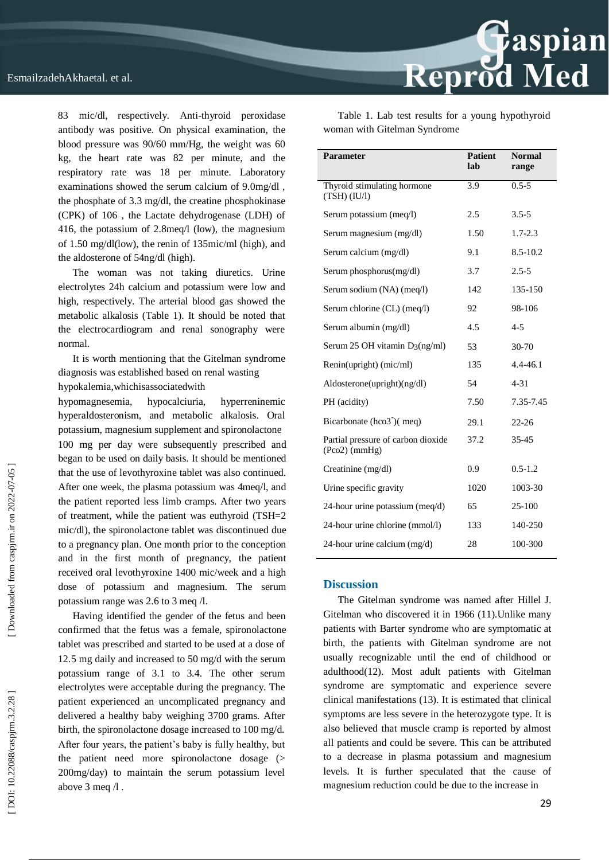83 mic/dl, respectively. Anti -thyroid peroxidase antibody was positive. On physical examination, the blood pressure was 90/60 mm/Hg, the weight was 60 kg, the heart rate was 82 per minute, and the respiratory rate was 18 per minute. Laboratory examinations showed the serum calcium of 9.0mg/dl , the phosphate of 3.3 mg/dl, the creatine phosphokinase (CPK) of 106 , the Lactate dehydrogenase (LDH) of 416, the potassium of 2.8meq/l (low), the magnesium of 1.50 mg/dl(low), the renin of 135mic/ml (high), and the aldosterone of 54ng/dl (high).

The woman was not taking diuretics. Urine electrolytes 24h calcium and potassium were low and high, respectively. The arterial blood gas showed the metabolic alkalosis (Table 1). It should be noted that the electrocardiogram and renal sonography were normal.

It is worth mentioning that the Gitelman syndrome diagnosis was established based on renal wasting hypokalemia,whichisassociatedwith

hypomagnesemia, hypocalciuria, hyperreninemic hyperaldosteronism, and metabolic alkalosis. Oral potassium, magnesium supplement and spironolactone 100 mg per day were subsequently prescribed and began to be used on daily basis. It should be mentioned that the use of levothyroxine tablet was also continued. After one week, the plasma potassium was 4meq/l, and the patient reported less limb cramps. After two years of treatment, while the patient was euthyroid (TSH=2 mic/dl), the spironolactone tablet was discontinued due to a pregnancy plan. One month prior to the conception and in the first month of pregnancy, the patient received oral levothyroxine 1400 mic/week and a high dose of potassium and magnesium. The serum potassium range was 2.6 to 3 meq /l.

Having identified the gender of the fetus and been confirmed that the fetus was a female, spironolactone tablet was prescribed and started to be used at a dose of 12.5 mg daily and increased to 50 mg/d with the serum potassium range of 3.1 to 3.4. The other serum electrolytes were acceptable during the pregnancy. The patient experienced an uncomplicated pregnancy and delivered a healthy baby weighing 3700 grams. After birth, the spironolactone dosage increased to 100 mg/d. After four years, the patient's baby is fully healthy, but the patient need more spironolactone dosage (> 200mg/day) to maintain the serum potassium level above 3 meq /l .

Table 1. Lab test results for a young hypothyroid woman with Gitelman Syndrome

| <b>Parameter</b>                                      | <b>Patient</b><br>lab | <b>Normal</b><br>range |
|-------------------------------------------------------|-----------------------|------------------------|
| Thyroid stimulating hormone<br>$(TSH)$ $(IU/l)$       | 3.9                   | $0.5 - 5$              |
| Serum potassium (meq/l)                               | 2.5                   | $3.5 - 5$              |
| Serum magnesium (mg/dl)                               | 1.50                  | $1.7 - 2.3$            |
| Serum calcium (mg/dl)                                 | 9.1                   | 8.5-10.2               |
| Serum phosphorus(mg/dl)                               | 3.7                   | $2.5 - 5$              |
| Serum sodium (NA) (meq/l)                             | 142                   | 135-150                |
| Serum chlorine (CL) (meq/l)                           | 92                    | 98-106                 |
| Serum albumin (mg/dl)                                 | 4.5                   | $4 - 5$                |
| Serum 25 OH vitamin $D_3(ng/ml)$                      | 53                    | 30-70                  |
| Renin(upright) (mic/ml)                               | 135                   | $4.4 - 46.1$           |
| Aldosterone(upright)(ng/dl)                           | 54                    | $4 - 31$               |
| PH (acidity)                                          | 7.50                  | 7.35-7.45              |
| Bicarbonate (hco3 <sup>-</sup> )(meq)                 | 29.1                  | $22 - 26$              |
| Partial pressure of carbon dioxide<br>$(Pco2)$ (mmHg) | 37.2                  | 35-45                  |
| Creatinine (mg/dl)                                    | 0.9                   | $0.5 - 1.2$            |
| Urine specific gravity                                | 1020                  | 1003-30                |
| 24-hour urine potassium (meq/d)                       | 65                    | 25-100                 |
| 24-hour urine chlorine (mmol/l)                       | 133                   | 140-250                |
| 24-hour urine calcium (mg/d)                          | 28                    | 100-300                |

#### **Discussion**

The Gitelman syndrome was named after Hillel J. Gitelman who discovered it in 1966 (11).Unlike many patients with Barter syndrome who are symptomatic at birth, the patients with Gitelman syndrome are not usually recognizable until the end of childhood or adulthood(12). Most adult patients with Gitelman syndrome are symptomatic and experience severe clinical manifestations (13). It is estimated that clinical symptoms are less severe in the heterozygote type. It is also believed that muscle cramp is reported by almost all patients and could be severe. This can be attributed to a decrease in plasma potassium and magnesium levels. It is further speculated that the cause of magnesium reduction could be due to the increase in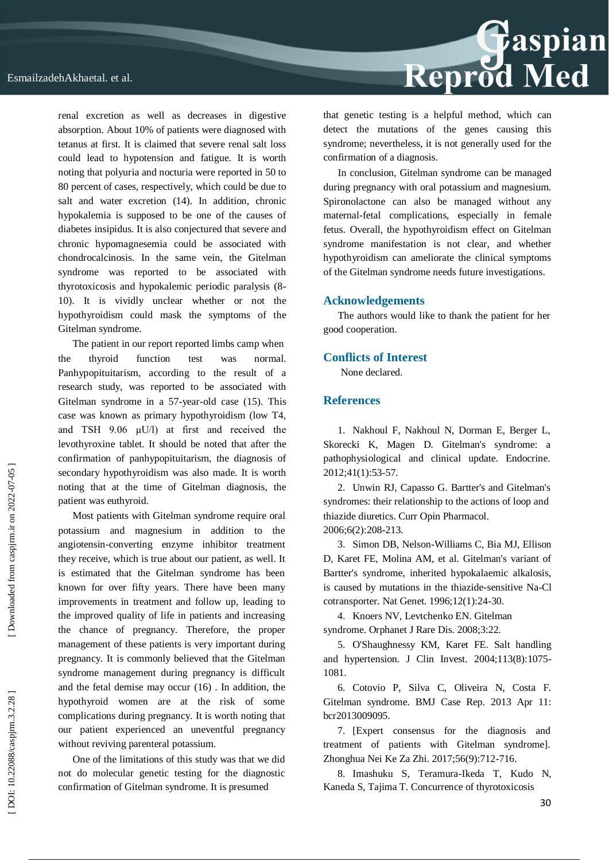renal excretion as well as decreases in digestive absorption. About 10% of patients were diagnosed with tetanus at first. It is claimed that severe renal salt loss could lead to hypotension and fatigue. It is worth noting that polyuria and nocturia were reported in 50 to 80 percent of cases, respectively, which could be due to salt and water excretion (14). In addition, chronic hypokalemia is supposed to be one of the causes of diabetes insipidus. It is also conjectured that severe and chronic hypomagnesemia could be associated with chondrocalcinosis. In the same vein, the Gitelman syndrome was reported to be associated with thyrotoxicosis and hypokalemic periodic paralysis (8 - 10). It is vividly unclear whether or not the hypothyroidism could mask the symptoms of the Gitelman syndrome.

The patient in our report reported limbs camp when the thyroid function test was normal. Panhypopituitarism, according to the result of a research study, was reported to be associated with Gitelman syndrome in a 57 -year -old case (15). This case was known as primary hypothyroidism (low T4, and TSH 9.06 μU/l) at first and received the levothyroxine tablet. It should be noted that after the confirmation of panhypopituitarism, the diagnosis of secondary hypothyroidism was also made. It is worth noting that at the time of Gitelman diagnosis, the patient was euthyroid.

Most patients with Gitelman syndrome require oral potassium and magnesium in addition to the angiotensin -converting enzyme inhibitor treatment they receive, which is true about our patient, as well. It is estimated that the Gitelman syndrome has been known for over fifty years. There have been many improvements in treatment and follow up, leading to the improved quality of life in patients and increasing the chance of pregnancy. Therefore, the proper management of these patients is very important during pregnancy. It is commonly believed that the Gitelman syndrome management during pregnancy is difficult and the fetal demise may occur (16) . In addition, the hypothyroid women are at the risk of some complications during pregnancy. It is worth noting that our patient experienced an uneventful pregnancy without reviving parenteral potassium.

One of the limitations of this study was that we did not do molecular genetic testing for the diagnostic confirmation of Gitelman syndrome. It is presumed



that genetic testing is a helpful method, which can detect the mutations of the genes causing this syndrome; nevertheless, it is not generally used for the confirmation of a diagnosis.

In conclusion, Gitelman syndrome can be managed during pregnancy with oral potassium and magnesium. Spironolactone can also be managed without any maternal -fetal complications, especially in female fetus. Overall, the hypothyroidism effect on Gitelman syndrome manifestation is not clear, and whether hypothyroidism can ameliorate the clinical symptoms of the Gitelman syndrome needs future investigations.

#### **Acknowledgements**

The authors would like to thank the patient for her good cooperation.

#### **Conflicts of Interest**

None declared.

### **References**

1. Nakhoul F, Nakhoul N, Dorman E, Berger L, Skorecki K, Magen D. Gitelman's syndrome: a pathophysiological and clinical update. Endocrine. 2012;41(1):53 -57.

2. Unwin RJ, Capasso G. Bartter's and Gitelman's syndromes: their relationship to the actions of loop and thiazide diuretics. Curr Opin Pharmacol. 2006;6(2):208 -213.

3. Simon DB, Nelson -Williams C, Bia MJ, Ellison D, Karet FE, Molina AM, et al. Gitelman's variant of Bartter's syndrome, inherited hypokalaemic alkalosis, is caused by mutations in the thiazide-sensitive Na-Cl cotransporter. Nat Genet. 1996;12(1):24 -30.

4. Knoers NV, Levtchenko EN. Gitelman syndrome. Orphanet J Rare Dis. 2008;3:22.

5. O'Shaughnessy KM, Karet FE. Salt handling and hypertension. J Clin Invest. 2004;113(8):1075 - 1081.

6. Cotovio P, Silva C, Oliveira N, Costa F. Gitelman syndrome. BMJ Case Rep. 2013 Apr 11: bcr2013009095.

7. [Expert consensus for the diagnosis and treatment of patients with Gitelman syndrome]. Zhonghua Nei Ke Za Zhi. 2017;56(9):712 -716.

8. Imashuku S, Teramura -Ikeda T, Kudo N, Kaneda S, Tajima T. Concurrence of thyrotoxicosis